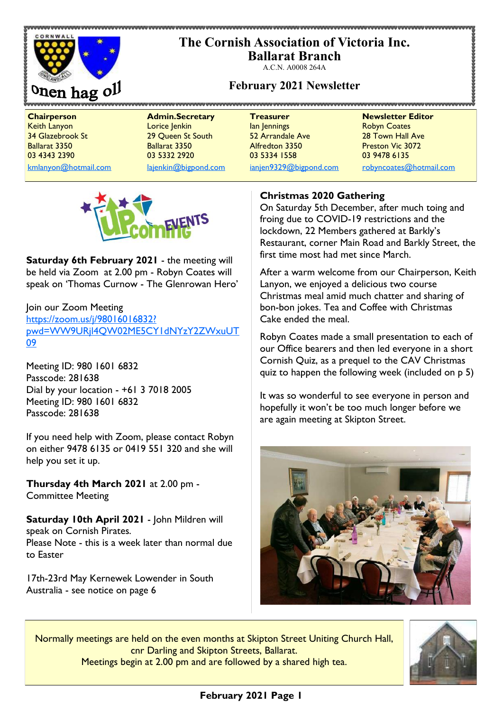

A.C.N. A0008 264A

## **February 2021 Newsletter**

en hag ol<sup>]</sup>

**Chairperson Admin.Secretary Treasurer Newsletter Editor** Keith Lanyon Lorice Jenkin Ian Jennings Robyn Coates 34 Glazebrook St 29 Queen St South 52 Arrandale Ave 28 Town Hall Ave Ballarat 3350 Ballarat 3350 Alfredton 3350 Preston Vic 3072 03 4343 2390 03 5332 2920 03 5334 1558 03 9478 6135

[kmlanyon@hotmail.com](mailto:kmlanyon@hotmail.com) [lajenkin@bigpond.com](mailto:lajenkin@bigpond.com) [ianjen9329@bigpond.com](mailto:ianjen9329@bigpond.com) [robyncoates@hotmail.com](mailto:robynjcoates@iinet.net.au)



**Saturday 6th February 2021** - the meeting will be held via Zoom at 2.00 pm - Robyn Coates will speak on 'Thomas Curnow - The Glenrowan Hero'

Join our Zoom Meeting [https://zoom.us/j/98016016832?](https://zoom.us/j/98016016832?pwd=WW9URjl4QW02ME5CY1dNYzY2ZWxuUT09) [pwd=WW9URjl4QW02ME5CY1dNYzY2ZWxuUT](https://zoom.us/j/98016016832?pwd=WW9URjl4QW02ME5CY1dNYzY2ZWxuUT09) [09](https://zoom.us/j/98016016832?pwd=WW9URjl4QW02ME5CY1dNYzY2ZWxuUT09)

Meeting ID: 980 1601 6832 Passcode: 281638 Dial by your location - +61 3 7018 2005 Meeting ID: 980 1601 6832 Passcode: 281638

If you need help with Zoom, please contact Robyn on either 9478 6135 or 0419 551 320 and she will help you set it up.

**Thursday 4th March 2021** at 2.00 pm - Committee Meeting

**Saturday 10th April 2021** - John Mildren will speak on Cornish Pirates. Please Note - this is a week later than normal due to Easter

17th-23rd May Kernewek Lowender in South Australia - see notice on page 6

### **Christmas 2020 Gathering**

On Saturday 5th December, after much toing and froing due to COVID-19 restrictions and the lockdown, 22 Members gathered at Barkly's Restaurant, corner Main Road and Barkly Street, the first time most had met since March.

After a warm welcome from our Chairperson, Keith Lanyon, we enjoyed a delicious two course Christmas meal amid much chatter and sharing of bon-bon jokes. Tea and Coffee with Christmas Cake ended the meal.

Robyn Coates made a small presentation to each of our Office bearers and then led everyone in a short Cornish Quiz, as a prequel to the CAV Christmas quiz to happen the following week (included on p 5)

It was so wonderful to see everyone in person and hopefully it won't be too much longer before we are again meeting at Skipton Street.



Normally meetings are held on the even months at Skipton Street Uniting Church Hall, cnr Darling and Skipton Streets, Ballarat. Meetings begin at 2.00 pm and are followed by a shared high tea.



# **February 2021 Page 1**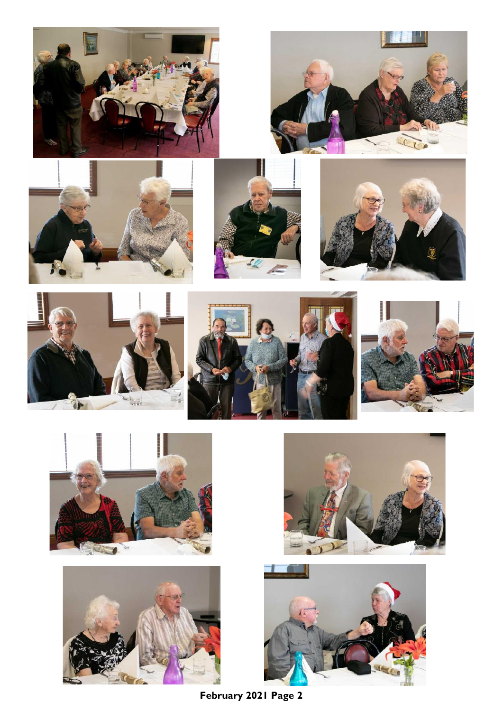























**February 2021 Page 2**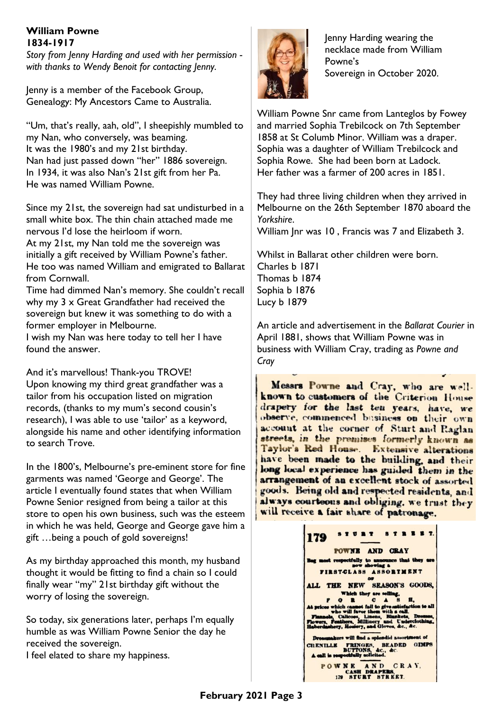## **William Powne 1834-1917**

*Story from Jenny Harding and used with her permission with thanks to Wendy Benoit for contacting Jenny.* 

Jenny is a member of the Facebook Group, Genealogy: My Ancestors Came to Australia.

"Um, that's really, aah, old", I sheepishly mumbled to my Nan, who conversely, was beaming. It was the 1980's and my 21st birthday. Nan had just passed down "her" 1886 sovereign. In 1934, it was also Nan's 21st gift from her Pa. He was named William Powne.

Since my 21st, the sovereign had sat undisturbed in a small white box. The thin chain attached made me nervous I'd lose the heirloom if worn.

At my 21st, my Nan told me the sovereign was initially a gift received by William Powne's father. He too was named William and emigrated to Ballarat from Cornwall.

Time had dimmed Nan's memory. She couldn't recall why my 3 x Great Grandfather had received the sovereign but knew it was something to do with a former employer in Melbourne.

I wish my Nan was here today to tell her I have found the answer.

And it's marvellous! Thank-you TROVE! Upon knowing my third great grandfather was a tailor from his occupation listed on migration records, (thanks to my mum's second cousin's research), I was able to use 'tailor' as a keyword, alongside his name and other identifying information to search Trove.

In the 1800's, Melbourne's pre-eminent store for fine garments was named 'George and George'. The article I eventually found states that when William Powne Senior resigned from being a tailor at this store to open his own business, such was the esteem in which he was held, George and George gave him a gift …being a pouch of gold sovereigns!

As my birthday approached this month, my husband thought it would be fitting to find a chain so I could finally wear "my" 21st birthday gift without the worry of losing the sovereign.

So today, six generations later, perhaps I'm equally humble as was William Powne Senior the day he received the sovereign.

I feel elated to share my happiness.



Jenny Harding wearing the necklace made from William Powne's Sovereign in October 2020.

William Powne Snr came from Lanteglos by Fowey and married Sophia Trebilcock on 7th September 1858 at St Columb Minor. William was a draper. Sophia was a daughter of William Trebilcock and Sophia Rowe. She had been born at Ladock. Her father was a farmer of 200 acres in 1851.

They had three living children when they arrived in Melbourne on the 26th September 1870 aboard the *Yorkshire*.

William Jnr was 10 , Francis was 7 and Elizabeth 3.

Whilst in Ballarat other children were born. Charles b 1871 Thomas b 1874 Sophia b 1876 Lucy b 1879

An article and advertisement in the *Ballarat Courier* in April 1881, shows that William Powne was in business with William Cray, trading as *Powne and Cray*

Messrs Powne and Cray, who are wellknown to customers of the Criterion House drapery for the last ten years, have, we observe, commenced business on their own account at the corner of Sturt and Raglan streets, in the premises formerly known as Taylor's Red House. Extensive alterations have been made to the building, and their long local experience has guided them in the arrangement of an excellent stock of assorted goods. Being old and respected residents, and always courteous and obliging, we trust they will receive a fair share of patronage.

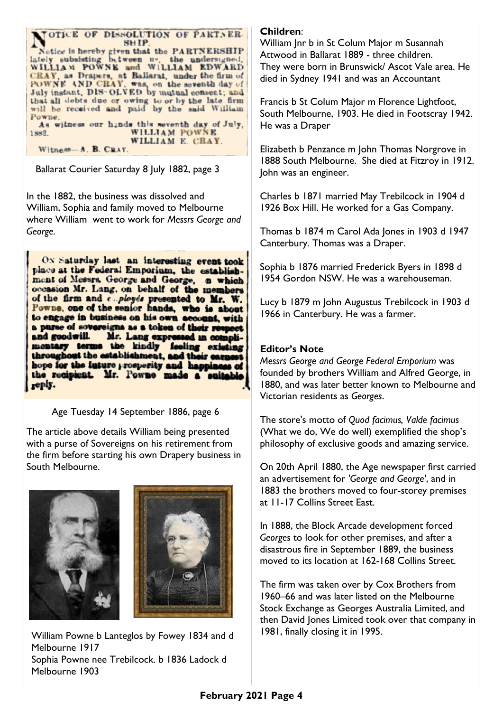**Children**: TOTICE OF DISSOLUTION OF PARTNER. William Jnr b in St Colum Major m Susannah **SHIP** Notice is hereby given that the PARTNERSHIP<br>lately subsisting between uv, the undersigned,<br>WILLIAM POWNE and WILLIAM EDWARD Attwood in Ballarat 1889 - three children. CRAY, as Drapers, at Ballarat, under the firm of POWNE AND CRAY, was, on the seventh day of July instant, DIS-OLVED by mutual consent; and died in Sydney 1941 and was an Accountant that all debts due or owing to or by the late firm<br>will be received and paid by the said William Francis b St Colum Major m Florence Lightfoot, Powne. As witness our hands this seventh day of July, WILLIAM POWNE. He was a Draper 1882. WILLIAM E. CRAY. Witness-A. B. CRAY.

Ballarat Courier Saturday 8 July 1882, page 3

In the 1882, the business was dissolved and William, Sophia and family moved to Melbourne where William went to work for *Messrs George and George.*

Ox Saturday last an interesting event took place at the Federal Emporium, the establishment of Messrs. George and George, a which occasion Mr. Lang, on behalf of the members of the firm and enployee presented to Mr. W. Powne, one of the senior hands, who is about to engage in business on his own account, with a purse of sovereigns as a token of their respect and goodwill. Mr. Lang expressed in complimentary terms the kindly feeling existing throughout the establishment, and their carnest hope for the future prosperity and happiness of the recipient. Mr. Powne made a suitable reply.

Age Tuesday 14 September 1886, page 6

The article above details William being presented with a purse of Sovereigns on his retirement from the firm before starting his own Drapery business in South Melbourne.





William Powne b Lanteglos by Fowey 1834 and d 1981, finally closing it in 1995. Melbourne 1917

Sophia Powne nee Trebilcock. b 1836 Ladock d Melbourne 1903

They were born in Brunswick/ Ascot Vale area. He

South Melbourne, 1903. He died in Footscray 1942.

Elizabeth b Penzance m John Thomas Norgrove in 1888 South Melbourne. She died at Fitzroy in 1912. John was an engineer.

Charles b 1871 married May Trebilcock in 1904 d 1926 Box Hill. He worked for a Gas Company.

Thomas b 1874 m Carol Ada Jones in 1903 d 1947 Canterbury. Thomas was a Draper.

Sophia b 1876 married Frederick Byers in 1898 d 1954 Gordon NSW. He was a warehouseman.

Lucy b 1879 m John Augustus Trebilcock in 1903 d 1966 in Canterbury. He was a farmer.

#### **Editor's Note**

*Messrs George and George Federal Emporium* was founded by brothers William and Alfred George, in 1880, and was later better known to Melbourne and Victorian residents as *Georges*.

The store's motto of *Quod facimus, Valde facimus*  (What we do, We do well) exemplified the shop's philosophy of exclusive goods and amazing service.

On 20th April 1880, the Age newspaper first carried an advertisement for *'George and George'*, and in 1883 the brothers moved to four-storey premises at 11-17 Collins Street East.

In 1888, the Block Arcade development forced *Georges* to look for other premises, and after a disastrous fire in September 1889, the business moved to its location at 162-168 Collins Street.

The firm was taken over by Cox Brothers from 1960–66 and was later listed on the Melbourne Stock Exchange as Georges Australia Limited, and then David Jones Limited took over that company in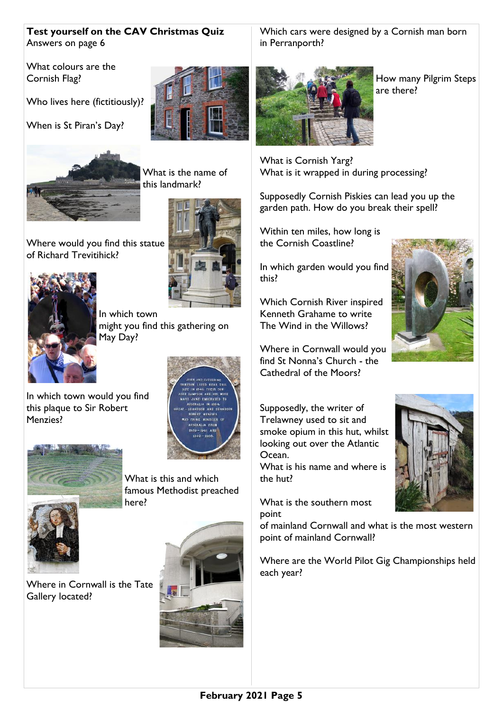### **Test yourself on the CAV Christmas Quiz** Answers on page 6

What colours are the Cornish Flag?

Who lives here (fictitiously)?

When is St Piran's Day?





What is the name of this landmark?

Where would you find this statue of Richard Trevitihick?





In which town might you find this gathering on May Day?

In which town would you find this plaque to Sir Robert Menzies?



What is this and which famous Methodist preached here?

Where in Cornwall is the Tate Gallery located?



Which cars were designed by a Cornish man born in Perranporth?



How many Pilgrim Steps are there?

What is Cornish Yarg? What is it wrapped in during processing?

Supposedly Cornish Piskies can lead you up the garden path. How do you break their spell?

Within ten miles, how long is the Cornish Coastline?

In which garden would you find this?

Which Cornish River inspired Kenneth Grahame to write The Wind in the Willows?

Where in Cornwall would you find St Nonna's Church - the Cathedral of the Moors?



Supposedly, the writer of Trelawney used to sit and smoke opium in this hut, whilst looking out over the Atlantic Ocean.

What is his name and where is the hut?

What is the southern most point

of mainland Cornwall and what is the most western point of mainland Cornwall?

Where are the World Pilot Gig Championships held each year?

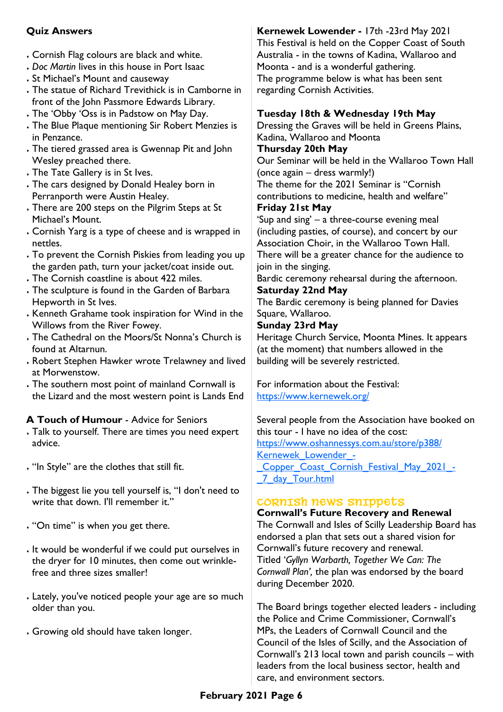## **Quiz Answers**

- Cornish Flag colours are black and white.
- *Doc Martin* lives in this house in Port Isaac
- St Michael's Mount and causeway
- The statue of Richard Trevithick is in Camborne in front of the John Passmore Edwards Library.
- The 'Obby 'Oss is in Padstow on May Day.
- The Blue Plaque mentioning Sir Robert Menzies is in Penzance.
- The tiered grassed area is Gwennap Pit and John Wesley preached there.
- The Tate Gallery is in St Ives.
- The cars designed by Donald Healey born in Perranporth were Austin Healey.
- There are 200 steps on the Pilgrim Steps at St Michael's Mount.
- Cornish Yarg is a type of cheese and is wrapped in nettles.
- To prevent the Cornish Piskies from leading you up the garden path, turn your jacket/coat inside out.
- The Cornish coastline is about 422 miles.
- The sculpture is found in the Garden of Barbara Hepworth in St Ives.
- . Kenneth Grahame took inspiration for Wind in the Willows from the River Fowey.
- The Cathedral on the Moors/St Nonna's Church is found at Altarnun.
- Robert Stephen Hawker wrote Trelawney and lived at Morwenstow.
- The southern most point of mainland Cornwall is the Lizard and the most western point is Lands End

## **A Touch of Humour** - Advice for Seniors

- Talk to yourself. There are times you need expert advice.
- . "In Style" are the clothes that still fit.
- The biggest lie you tell yourself is, "I don't need to write that down. I'll remember it."
- . "On time" is when you get there.
- It would be wonderful if we could put ourselves in the dryer for 10 minutes, then come out wrinklefree and three sizes smaller!
- Lately, you've noticed people your age are so much older than you.
- Growing old should have taken longer.

**Kernewek Lowender -** 17th -23rd May 2021 This Festival is held on the Copper Coast of South Australia - in the towns of Kadina, Wallaroo and Moonta - and is a wonderful gathering. The programme below is what has been sent regarding Cornish Activities.

## **Tuesday 18th & Wednesday 19th May**

Dressing the Graves will be held in Greens Plains, Kadina, Wallaroo and Moonta

#### **Thursday 20th May**

Our Seminar will be held in the Wallaroo Town Hall (once again – dress warmly!)

The theme for the 2021 Seminar is "Cornish contributions to medicine, health and welfare"

## **Friday 21st May**

'Sup and sing' – a three-course evening meal (including pasties, of course), and concert by our Association Choir, in the Wallaroo Town Hall. There will be a greater chance for the audience to join in the singing.

Bardic ceremony rehearsal during the afternoon.

### **Saturday 22nd May**

The Bardic ceremony is being planned for Davies Square, Wallaroo.

#### **Sunday 23rd May**

Heritage Church Service, Moonta Mines. It appears (at the moment) that numbers allowed in the building will be severely restricted.

For information about the Festival: <https://www.kernewek.org/>

Several people from the Association have booked on this tour - I have no idea of the cost: [https://www.oshannessys.com.au/store/p388/](https://www.oshannessys.com.au/store/p388/Kernewek_Lowender_-_Copper_Coast_Cornish_Festival_May_2021_-_7_day_Tour.html) Kernewek Lowender -Copper Coast Cornish Festival May 2021 -[\\_7\\_day\\_Tour.html](https://www.oshannessys.com.au/store/p388/Kernewek_Lowender_-_Copper_Coast_Cornish_Festival_May_2021_-_7_day_Tour.html)

## **CORNISH NEWS SNIPPETS**

#### **Cornwall's Future Recovery and Renewal**

The Cornwall and Isles of Scilly Leadership Board has endorsed a plan that sets out a shared vision for Cornwall's future recovery and renewal. Titled '*Gyllyn Warbarth, Together We Can: The Cornwall Plan',* the plan was endorsed by the board during December 2020.

The Board brings together elected leaders - including the Police and Crime Commissioner, Cornwall's MPs, the Leaders of Cornwall Council and the Council of the Isles of Scilly, and the Association of Cornwall's 213 local town and parish councils – with leaders from the local business sector, health and care, and environment sectors.

# **February 2021 Page 6**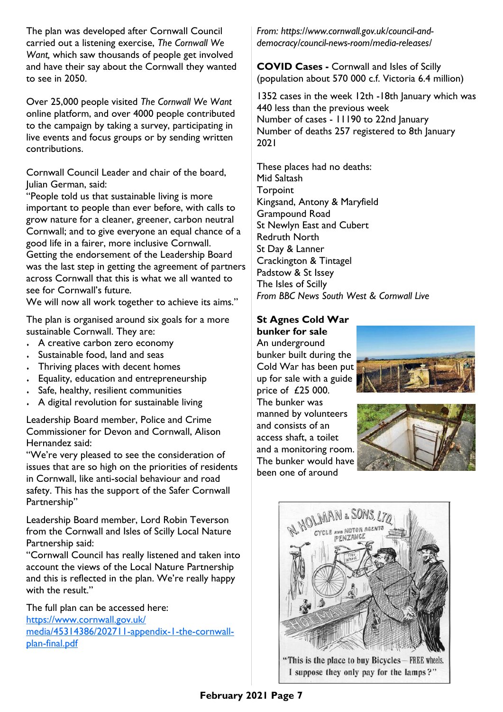The plan was developed after Cornwall Council carried out a listening exercise, *The Cornwall We Want,* which saw thousands of people get involved and have their say about the Cornwall they wanted to see in 2050.

Over 25,000 people visited *The Cornwall We Want* online platform, and over 4000 people contributed to the campaign by taking a survey, participating in live events and focus groups or by sending written contributions.

Cornwall Council Leader and chair of the board, Julian German, said:

"People told us that sustainable living is more important to people than ever before, with calls to grow nature for a cleaner, greener, carbon neutral Cornwall; and to give everyone an equal chance of a good life in a fairer, more inclusive Cornwall. Getting the endorsement of the Leadership Board was the last step in getting the agreement of partners across Cornwall that this is what we all wanted to see for Cornwall's future.

We will now all work together to achieve its aims."

The plan is organised around six goals for a more sustainable Cornwall. They are:

- A creative carbon zero economy
- Sustainable food, land and seas
- Thriving places with decent homes
- Equality, education and entrepreneurship
- Safe, healthy, resilient communities
- A digital revolution for sustainable living

Leadership Board member, Police and Crime Commissioner for Devon and Cornwall, Alison Hernandez said:

"We're very pleased to see the consideration of issues that are so high on the priorities of residents in Cornwall, like anti-social behaviour and road safety. This has the support of the Safer Cornwall Partnership"

Leadership Board member, Lord Robin Teverson from the Cornwall and Isles of Scilly Local Nature Partnership said:

"Cornwall Council has really listened and taken into account the views of the Local Nature Partnership and this is reflected in the plan. We're really happy with the result."

The full plan can be accessed here: [https://www.cornwall.gov.uk/](https://www.cornwall.gov.uk/media/45314386/202711-appendix-1-the-cornwall-plan-final.pdf) [media/45314386/202711-appendix-1-the-cornwall](https://www.cornwall.gov.uk/media/45314386/202711-appendix-1-the-cornwall-plan-final.pdf)[plan-final.pdf](https://www.cornwall.gov.uk/media/45314386/202711-appendix-1-the-cornwall-plan-final.pdf)

*From: https://www.cornwall.gov.uk/council-anddemocracy/council-news-room/media-releases/*

**COVID Cases -** Cornwall and Isles of Scilly (population about 570 000 c.f. Victoria 6.4 million)

1352 cases in the week 12th -18th January which was 440 less than the previous week Number of cases - 11190 to 22nd January Number of deaths 257 registered to 8th January 2021

These places had no deaths: Mid Saltash **Torpoint** Kingsand, Antony & Maryfield Grampound Road St Newlyn East and Cubert Redruth North St Day & Lanner Crackington & Tintagel Padstow & St Issey The Isles of Scilly *From BBC News South West & Cornwall Live*

## **St Agnes Cold War**

**bunker for sale** An underground bunker built during the Cold War has been put up for sale with a guide price of £25 000. The bunker was manned by volunteers and consists of an access shaft, a toilet and a monitoring room. The bunker would have been one of around







"This is the place to buy Bicycles - FREE wheels. I suppose they only pay for the lamps?"